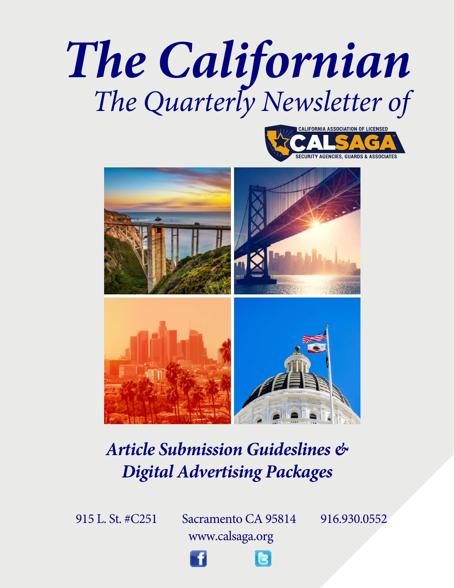





## *Article Submission Guideslines & Digital Advertising Packages*

915 L. St. #C251 [Sacram](WWW.FACEBOOK.COM/CALSAGA.ORG)ent[o CA 95814](WWW.TWITTER.COM/CALSAGA) 916.930.0552 www.calsaga.org